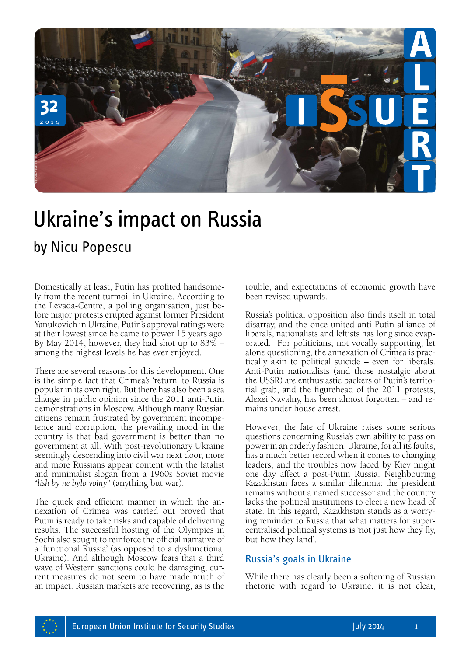

# Ukraine's impact on Russia

Domestically at least, Putin has profited handsomely from the recent turmoil in Ukraine. According to the Levada-Centre, a polling organisation, just before major protests erupted against former President Yanukovich in Ukraine, Putin's approval ratings were at their lowest since he came to power 15 years ago. By May 2014, however, they had shot up to 83% – among the highest levels he has ever enjoyed.

There are several reasons for this development. One is the simple fact that Crimea's 'return' to Russia is popular in its own right. But there has also been a sea change in public opinion since the 2011 anti-Putin demonstrations in Moscow. Although many Russian citizens remain frustrated by government incompetence and corruption, the prevailing mood in the country is that bad government is better than no government at all. With post-revolutionary Ukraine seemingly descending into civil war next door, more and more Russians appear content with the fatalist and minimalist slogan from a 1960s Soviet movie "*lish by ne bylo voiny*" (anything but war).

The quick and efficient manner in which the annexation of Crimea was carried out proved that Putin is ready to take risks and capable of delivering results. The successful hosting of the Olympics in Sochi also sought to reinforce the official narrative of a 'functional Russia' (as opposed to a dysfunctional Ukraine). And although Moscow fears that a third wave of Western sanctions could be damaging, current measures do not seem to have made much of an impact. Russian markets are recovering, as is the

rouble, and expectations of economic growth have been revised upwards.

Russia's political opposition also finds itself in total disarray, and the once-united anti-Putin alliance of liberals, nationalists and leftists has long since evaporated. For politicians, not vocally supporting, let alone questioning, the annexation of Crimea is practically akin to political suicide – even for liberals. Anti-Putin nationalists (and those nostalgic about the USSR) are enthusiastic backers of Putin's territorial grab, and the figurehead of the 2011 protests, Alexei Navalny, has been almost forgotten – and remains under house arrest.

However, the fate of Ukraine raises some serious questions concerning Russia's own ability to pass on power in an orderly fashion. Ukraine, for all its faults, has a much better record when it comes to changing leaders, and the troubles now faced by Kiev might one day affect a post-Putin Russia. Neighbouring Kazakhstan faces a similar dilemma: the president remains without a named successor and the country lacks the political institutions to elect a new head of state. In this regard, Kazakhstan stands as a worrying reminder to Russia that what matters for supercentralised political systems is 'not just how they fly, but how they land'.

## Russia's goals in Ukraine

While there has clearly been a softening of Russian rhetoric with regard to Ukraine, it is not clear,